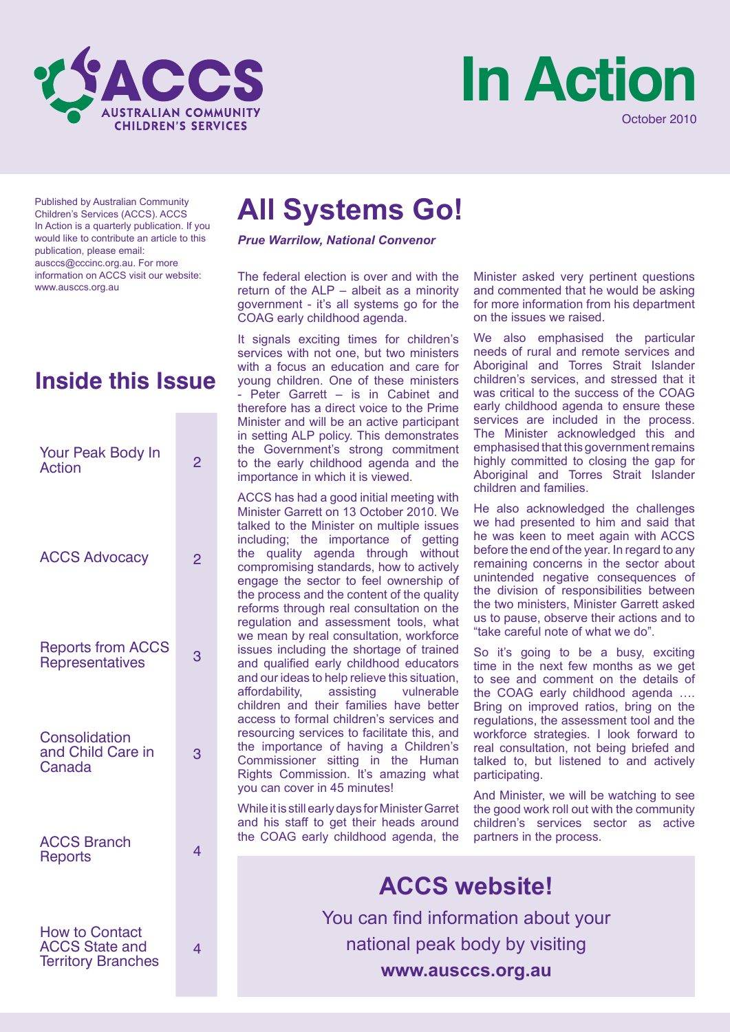



Published by Australian Community Children's Services (ACCS). ACCS In Action is a quarterly publication. If you would like to contribute an article to this publication, please email: ausccs@cccinc.org.au. For more information on ACCS visit our website: www.ausccs.org.au

### **Inside this Issue**

| Your Peak Body In<br><b>Action</b>                                          | 2              |
|-----------------------------------------------------------------------------|----------------|
| <b>ACCS Advocacy</b>                                                        | $\overline{2}$ |
| <b>Reports from ACCS</b><br><b>Representatives</b>                          | 3              |
| Consolidation<br>and Child Care in<br>Canada                                | 3              |
| <b>ACCS Branch</b><br><b>Reports</b>                                        | 4              |
| <b>How to Contact</b><br><b>ACCS State and</b><br><b>Territory Branches</b> | 4              |

## **All Systems Go!**

*Prue Warrilow, National Convenor*

The federal election is over and with the return of the ALP – albeit as a minority government - it's all systems go for the COAG early childhood agenda.

It signals exciting times for children's services with not one, but two ministers with a focus an education and care for young children. One of these ministers - Peter Garrett – is in Cabinet and therefore has a direct voice to the Prime Minister and will be an active participant in setting ALP policy. This demonstrates the Government's strong commitment to the early childhood agenda and the importance in which it is viewed.

ACCS has had a good initial meeting with Minister Garrett on 13 October 2010. We talked to the Minister on multiple issues including; the importance of getting the quality agenda through without compromising standards, how to actively engage the sector to feel ownership of the process and the content of the quality reforms through real consultation on the regulation and assessment tools, what we mean by real consultation, workforce issues including the shortage of trained and qualified early childhood educators and our ideas to help relieve this situation,<br>affordability, assisting vulnerable affordability, children and their families have better access to formal children's services and resourcing services to facilitate this, and the importance of having a Children's Commissioner sitting in the Human Rights Commission. It's amazing what you can cover in 45 minutes!

While it is still early days for Minister Garret and his staff to get their heads around the COAG early childhood agenda, the Minister asked very pertinent questions and commented that he would be asking for more information from his department on the issues we raised.

We also emphasised the particular needs of rural and remote services and Aboriginal and Torres Strait Islander children's services, and stressed that it was critical to the success of the COAG early childhood agenda to ensure these services are included in the process. The Minister acknowledged this and emphasised that this government remains highly committed to closing the gap for Aboriginal and Torres Strait Islander children and families.

He also acknowledged the challenges we had presented to him and said that he was keen to meet again with ACCS before the end of the year. In regard to any remaining concerns in the sector about unintended negative consequences of the division of responsibilities between the two ministers, Minister Garrett asked us to pause, observe their actions and to "take careful note of what we do".

So it's going to be a busy, exciting time in the next few months as we get to see and comment on the details of the COAG early childhood agenda …. Bring on improved ratios, bring on the regulations, the assessment tool and the workforce strategies. I look forward to real consultation, not being briefed and talked to, but listened to and actively participating.

And Minister, we will be watching to see the good work roll out with the community children's services sector as active partners in the process.

**ACCS website!** You can find information about your national peak body by visiting **www.ausccs.org.au**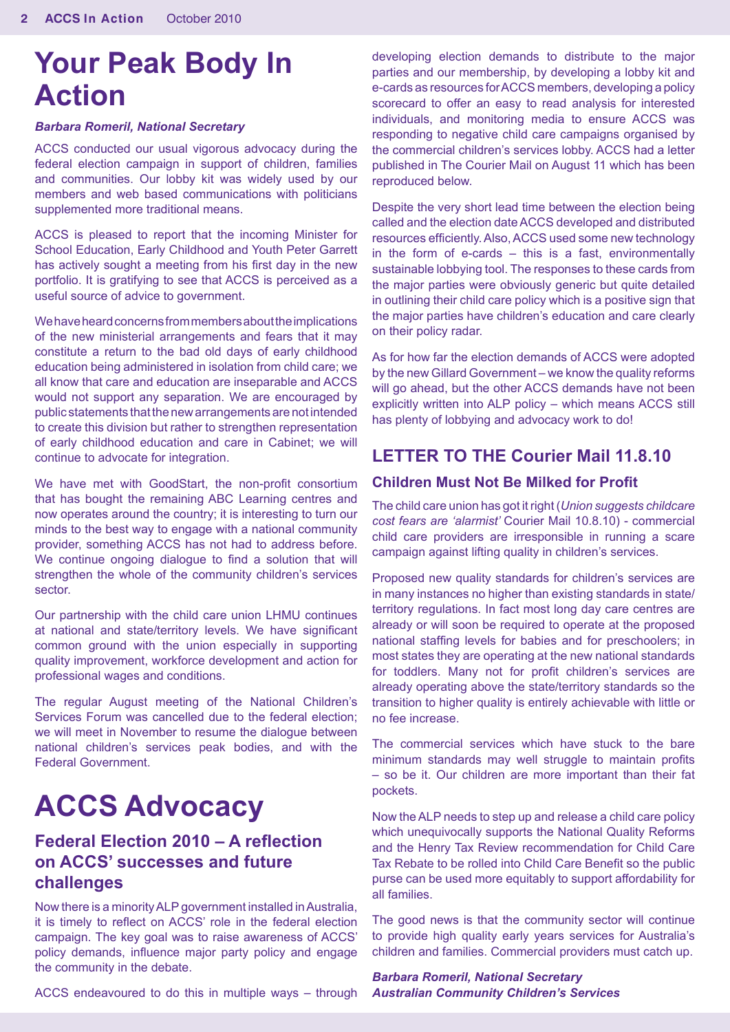## **Your Peak Body In Action**

#### *Barbara Romeril, National Secretary*

ACCS conducted our usual vigorous advocacy during the federal election campaign in support of children, families and communities. Our lobby kit was widely used by our members and web based communications with politicians supplemented more traditional means.

ACCS is pleased to report that the incoming Minister for School Education, Early Childhood and Youth Peter Garrett has actively sought a meeting from his first day in the new portfolio. It is gratifying to see that ACCS is perceived as a useful source of advice to government.

We have heard concerns from members about the implications of the new ministerial arrangements and fears that it may constitute a return to the bad old days of early childhood education being administered in isolation from child care; we all know that care and education are inseparable and ACCS would not support any separation. We are encouraged by public statements that the new arrangements are not intended to create this division but rather to strengthen representation of early childhood education and care in Cabinet; we will continue to advocate for integration.

We have met with GoodStart, the non-profit consortium that has bought the remaining ABC Learning centres and now operates around the country; it is interesting to turn our minds to the best way to engage with a national community provider, something ACCS has not had to address before. We continue ongoing dialogue to find a solution that will strengthen the whole of the community children's services sector.

Our partnership with the child care union LHMU continues at national and state/territory levels. We have significant common ground with the union especially in supporting quality improvement, workforce development and action for professional wages and conditions.

The regular August meeting of the National Children's Services Forum was cancelled due to the federal election; we will meet in November to resume the dialogue between national children's services peak bodies, and with the Federal Government.

# **ACCS Advocacy**

### **Federal Election 2010 – A reflection on ACCS' successes and future challenges**

Now there is a minority ALP government installed in Australia, it is timely to reflect on ACCS' role in the federal election campaign. The key goal was to raise awareness of ACCS' policy demands, influence major party policy and engage the community in the debate.

ACCS endeavoured to do this in multiple ways – through

developing election demands to distribute to the major parties and our membership, by developing a lobby kit and e-cards as resources for ACCS members, developing a policy scorecard to offer an easy to read analysis for interested individuals, and monitoring media to ensure ACCS was responding to negative child care campaigns organised by the commercial children's services lobby. ACCS had a letter published in The Courier Mail on August 11 which has been reproduced below.

Despite the very short lead time between the election being called and the election date ACCS developed and distributed resources efficiently. Also, ACCS used some new technology in the form of e-cards – this is a fast, environmentally sustainable lobbying tool. The responses to these cards from the major parties were obviously generic but quite detailed in outlining their child care policy which is a positive sign that the major parties have children's education and care clearly on their policy radar.

As for how far the election demands of ACCS were adopted by the new Gillard Government – we know the quality reforms will go ahead, but the other ACCS demands have not been explicitly written into ALP policy – which means ACCS still has plenty of lobbying and advocacy work to do!

#### **LETTER TO THE Courier Mail 11.8.10**

#### **Children Must Not Be Milked for Profit**

The child care union has got it right (*Union suggests childcare cost fears are 'alarmist'* Courier Mail 10.8.10) - commercial child care providers are irresponsible in running a scare campaign against lifting quality in children's services.

Proposed new quality standards for children's services are in many instances no higher than existing standards in state/ territory regulations. In fact most long day care centres are already or will soon be required to operate at the proposed national staffing levels for babies and for preschoolers; in most states they are operating at the new national standards for toddlers. Many not for profit children's services are already operating above the state/territory standards so the transition to higher quality is entirely achievable with little or no fee increase.

The commercial services which have stuck to the bare minimum standards may well struggle to maintain profits – so be it. Our children are more important than their fat pockets.

Now the ALP needs to step up and release a child care policy which unequivocally supports the National Quality Reforms and the Henry Tax Review recommendation for Child Care Tax Rebate to be rolled into Child Care Benefit so the public purse can be used more equitably to support affordability for all families.

The good news is that the community sector will continue to provide high quality early years services for Australia's children and families. Commercial providers must catch up.

*Barbara Romeril, National Secretary Australian Community Children's Services*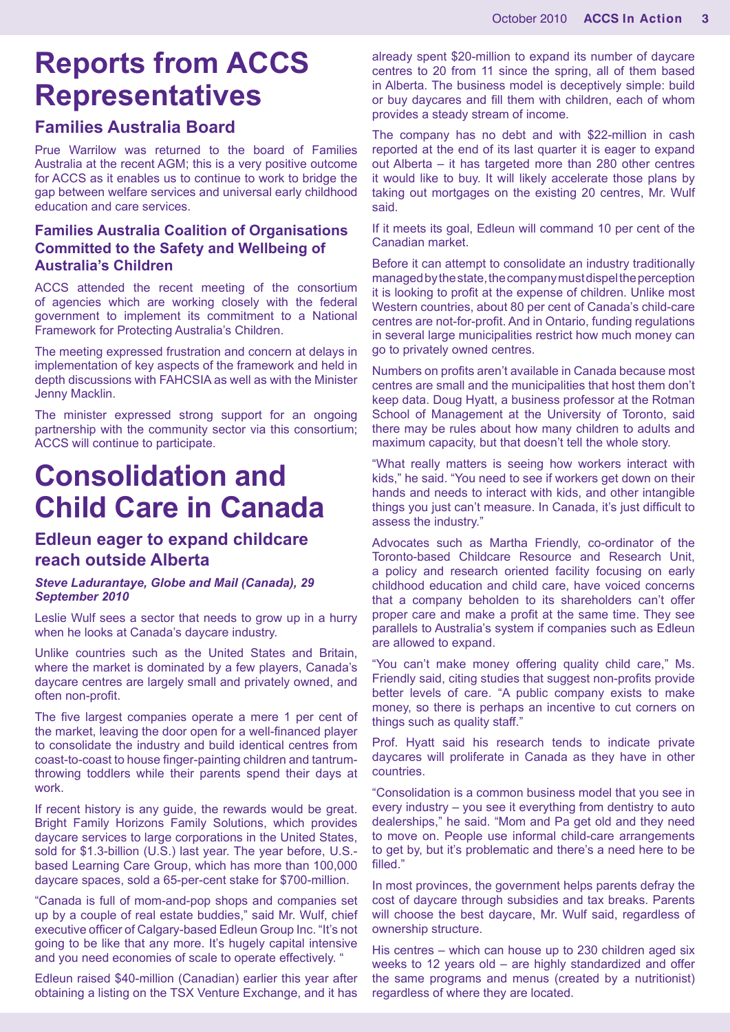# **Reports from ACCS Representatives**

#### **Families Australia Board**

Prue Warrilow was returned to the board of Families Australia at the recent AGM; this is a very positive outcome for ACCS as it enables us to continue to work to bridge the gap between welfare services and universal early childhood education and care services.

#### **Families Australia Coalition of Organisations Committed to the Safety and Wellbeing of Australia's Children**

ACCS attended the recent meeting of the consortium of agencies which are working closely with the federal government to implement its commitment to a National Framework for Protecting Australia's Children.

The meeting expressed frustration and concern at delays in implementation of key aspects of the framework and held in depth discussions with FAHCSIA as well as with the Minister Jenny Macklin.

The minister expressed strong support for an ongoing partnership with the community sector via this consortium; ACCS will continue to participate.

### **Consolidation and Child Care in Canada**

#### **Edleun eager to expand childcare reach outside Alberta**

#### *Steve Ladurantaye, Globe and Mail (Canada), 29 September 2010*

Leslie Wulf sees a sector that needs to grow up in a hurry when he looks at Canada's daycare industry.

Unlike countries such as the United States and Britain, where the market is dominated by a few players, Canada's daycare centres are largely small and privately owned, and often non-profit.

The five largest companies operate a mere 1 per cent of the market, leaving the door open for a well-financed player to consolidate the industry and build identical centres from coast-to-coast to house finger-painting children and tantrumthrowing toddlers while their parents spend their days at work.

If recent history is any guide, the rewards would be great. Bright Family Horizons Family Solutions, which provides daycare services to large corporations in the United States, sold for \$1.3-billion (U.S.) last year. The year before, U.S. based Learning Care Group, which has more than 100,000 daycare spaces, sold a 65-per-cent stake for \$700-million.

"Canada is full of mom-and-pop shops and companies set up by a couple of real estate buddies," said Mr. Wulf, chief executive officer of Calgary-based Edleun Group Inc. "It's not going to be like that any more. It's hugely capital intensive and you need economies of scale to operate effectively. "

Edleun raised \$40-million (Canadian) earlier this year after obtaining a listing on the TSX Venture Exchange, and it has already spent \$20-million to expand its number of daycare centres to 20 from 11 since the spring, all of them based in Alberta. The business model is deceptively simple: build or buy daycares and fill them with children, each of whom provides a steady stream of income.

The company has no debt and with \$22-million in cash reported at the end of its last quarter it is eager to expand out Alberta – it has targeted more than 280 other centres it would like to buy. It will likely accelerate those plans by taking out mortgages on the existing 20 centres, Mr. Wulf said.

If it meets its goal, Edleun will command 10 per cent of the Canadian market.

Before it can attempt to consolidate an industry traditionally managed by the state, the company must dispel the perception it is looking to profit at the expense of children. Unlike most Western countries, about 80 per cent of Canada's child-care centres are not-for-profit. And in Ontario, funding regulations in several large municipalities restrict how much money can go to privately owned centres.

Numbers on profits aren't available in Canada because most centres are small and the municipalities that host them don't keep data. Doug Hyatt, a business professor at the Rotman School of Management at the University of Toronto, said there may be rules about how many children to adults and maximum capacity, but that doesn't tell the whole story.

"What really matters is seeing how workers interact with kids," he said. "You need to see if workers get down on their hands and needs to interact with kids, and other intangible things you just can't measure. In Canada, it's just difficult to assess the industry."

Advocates such as Martha Friendly, co-ordinator of the Toronto-based Childcare Resource and Research Unit, a policy and research oriented facility focusing on early childhood education and child care, have voiced concerns that a company beholden to its shareholders can't offer proper care and make a profit at the same time. They see parallels to Australia's system if companies such as Edleun are allowed to expand.

"You can't make money offering quality child care," Ms. Friendly said, citing studies that suggest non-profits provide better levels of care. "A public company exists to make money, so there is perhaps an incentive to cut corners on things such as quality staff."

Prof. Hyatt said his research tends to indicate private daycares will proliferate in Canada as they have in other countries.

"Consolidation is a common business model that you see in every industry – you see it everything from dentistry to auto dealerships," he said. "Mom and Pa get old and they need to move on. People use informal child-care arrangements to get by, but it's problematic and there's a need here to be filled."

In most provinces, the government helps parents defray the cost of daycare through subsidies and tax breaks. Parents will choose the best daycare, Mr. Wulf said, regardless of ownership structure.

His centres – which can house up to 230 children aged six weeks to 12 years old – are highly standardized and offer the same programs and menus (created by a nutritionist) regardless of where they are located.